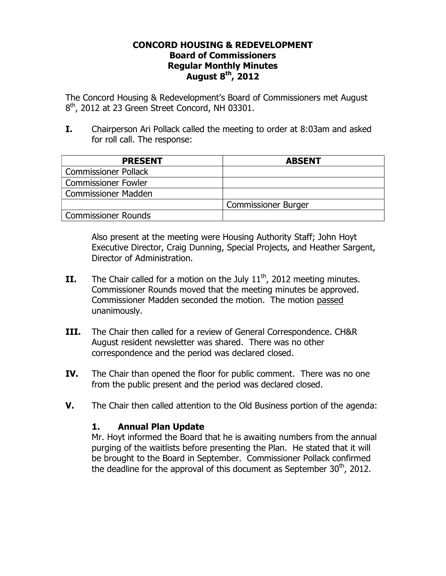## **CONCORD HOUSING & REDEVELOPMENT Board of Commissioners Regular Monthly Minutes August 8th, 2012**

The Concord Housing & Redevelopment's Board of Commissioners met August  $8<sup>th</sup>$ , 2012 at 23 Green Street Concord, NH 03301.

**I.** Chairperson Ari Pollack called the meeting to order at 8:03am and asked for roll call. The response:

| <b>PRESENT</b>              | <b>ABSENT</b>              |
|-----------------------------|----------------------------|
| <b>Commissioner Pollack</b> |                            |
| <b>Commissioner Fowler</b>  |                            |
| <b>Commissioner Madden</b>  |                            |
|                             | <b>Commissioner Burger</b> |
| <b>Commissioner Rounds</b>  |                            |

Also present at the meeting were Housing Authority Staff; John Hoyt Executive Director, Craig Dunning, Special Projects, and Heather Sargent, Director of Administration.

- **II.** The Chair called for a motion on the July  $11<sup>th</sup>$ , 2012 meeting minutes. Commissioner Rounds moved that the meeting minutes be approved. Commissioner Madden seconded the motion. The motion passed unanimously.
- **III.** The Chair then called for a review of General Correspondence. CH&R August resident newsletter was shared. There was no other correspondence and the period was declared closed.
- **IV.** The Chair than opened the floor for public comment. There was no one from the public present and the period was declared closed.
- **V.** The Chair then called attention to the Old Business portion of the agenda:

## **1. Annual Plan Update**

Mr. Hoyt informed the Board that he is awaiting numbers from the annual purging of the waitlists before presenting the Plan. He stated that it will be brought to the Board in September. Commissioner Pollack confirmed the deadline for the approval of this document as September  $30<sup>th</sup>$ , 2012.